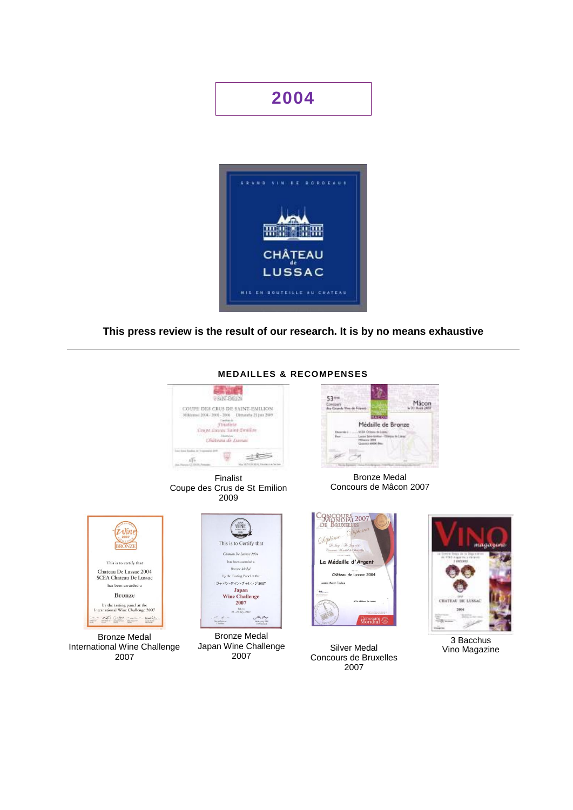# **2004**



**This press review is the result of our research. It is by no means exhaustive**



Finalist Coupe des Crus de St Emilion 2009



Bronze Medal Concours de Mâcon 2007



Bronze Medal International Wine Challenge 2007



Bronze Medal Japan Wine Challenge 2007



Silver Medal Concours de Bruxelles 2007



3 Bacchus Vino Magazine

## **MEDAILLES & RECOMPENSES**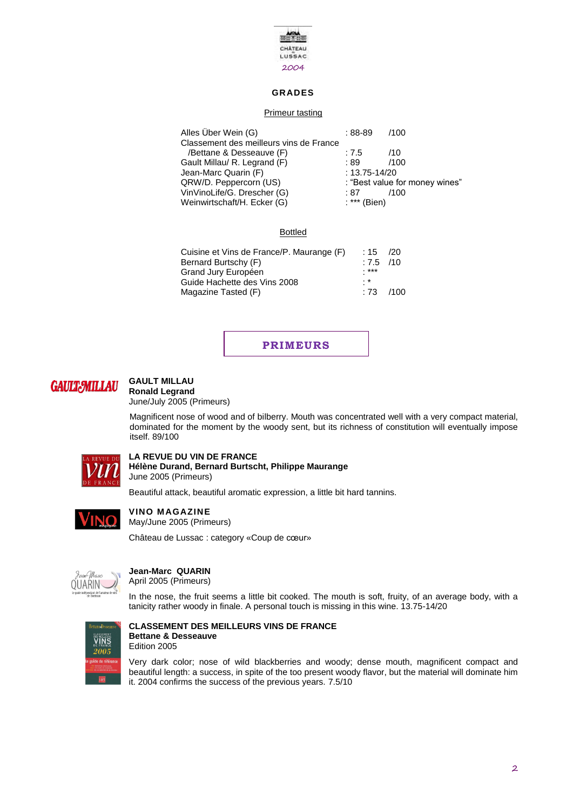

## **GRADES**

## Primeur tasting

| $:88-89$          | /100                           |
|-------------------|--------------------------------|
|                   |                                |
| :7.5              | /10                            |
| :89               | /100                           |
| $: 13.75 - 14/20$ |                                |
|                   | : "Best value for money wines" |
| :87               | /100                           |
| : *** (Bien)      |                                |
|                   |                                |

## Bottled

| Cuisine et Vins de France/P. Maurange (F)<br>Bernard Burtschy (F)<br>Grand Jury Européen<br>Guide Hachette des Vins 2008 | : 15<br>$:7.5$ /10<br>***<br>. * | - 120 |
|--------------------------------------------------------------------------------------------------------------------------|----------------------------------|-------|
| Magazine Tasted (F)                                                                                                      | $\cdot$ 73                       | /100  |

**PRIMEURS**



#### **GAULT MILLAU Ronald Legrand**

June/July 2005 (Primeurs)

Magnificent nose of wood and of bilberry. Mouth was concentrated well with a very compact material, dominated for the moment by the woody sent, but its richness of constitution will eventually impose itself. 89/100



**LA REVUE DU VIN DE FRANCE Hélène Durand, Bernard Burtscht, Philippe Maurange** June 2005 (Primeurs)

Beautiful attack, beautiful aromatic expression, a little bit hard tannins.



**VINO MAGAZINE** May/June 2005 (Primeurs)

Château de Lussac : category «Coup de cœur»



## **Jean-Marc QUARIN**

April 2005 (Primeurs)

In the nose, the fruit seems a little bit cooked. The mouth is soft, fruity, of an average body, with a tanicity rather woody in finale. A personal touch is missing in this wine. 13.75-14/20



#### **CLASSEMENT DES MEILLEURS VINS DE FRANCE Bettane & Desseauve** Edition 2005

Very dark color; nose of wild blackberries and woody; dense mouth, magnificent compact and beautiful length: a success, in spite of the too present woody flavor, but the material will dominate him it. 2004 confirms the success of the previous years. 7.5/10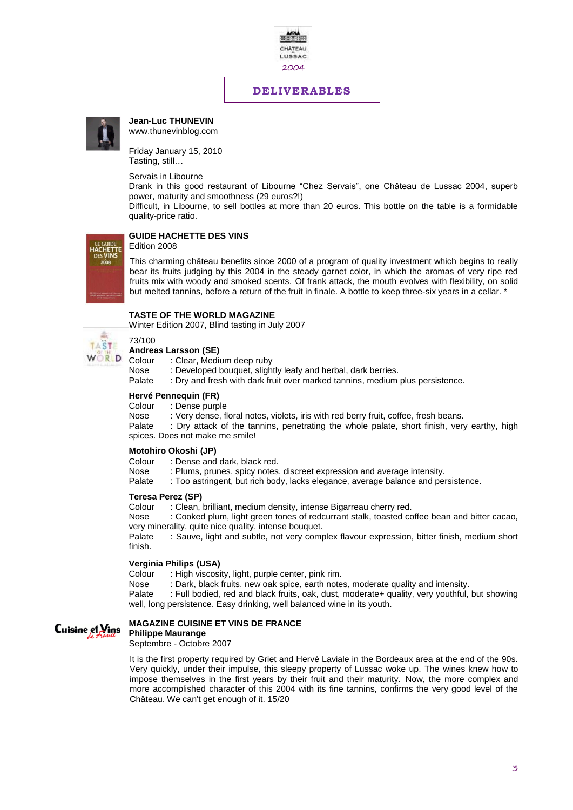

## **DELIVERABLES**



**Jean-Luc THUNEVIN** www.thunevinblog.com

Friday January 15, 2010 Tasting, still…

Servais in Libourne

Drank in this good restaurant of Libourne "Chez Servais", one Château de Lussac 2004, superb power, maturity and smoothness (29 euros?!)

Difficult, in Libourne, to sell bottles at more than 20 euros. This bottle on the table is a formidable quality-price ratio.

## **GUIDE HACHETTE DES VINS**

## Edition 2008

This charming château benefits since 2000 of a program of quality investment which begins to really bear its fruits judging by this 2004 in the steady garnet color, in which the aromas of very ripe red fruits mix with woody and smoked scents. Of frank attack, the mouth evolves with flexibility, on solid but melted tannins, before a return of the fruit in finale. A bottle to keep three-six years in a cellar. \*

## **TASTE OF THE WORLD MAGAZINE**

Winter Edition 2007, Blind tasting in July 2007



**Andreas Larsson (SE)**

Colour : Clear, Medium deep ruby

Nose : Developed bouquet, slightly leafy and herbal, dark berries.

Palate : Dry and fresh with dark fruit over marked tannins, medium plus persistence.

## **Hervé Pennequin (FR)**<br>Colour : Dense purp

Colour : Dense purple<br>Nose : Verv dense. fl

: Very dense, floral notes, violets, iris with red berry fruit, coffee, fresh beans.

Palate : Dry attack of the tannins, penetrating the whole palate, short finish, very earthy, high spices. Does not make me smile!

#### **Motohiro Okoshi (JP)**

Colour : Dense and dark, black red.

Nose : Plums, prunes, spicy notes, discreet expression and average intensity.

Palate : Too astringent, but rich body, lacks elegance, average balance and persistence.

#### **Teresa Perez (SP)**

Colour : Clean, brilliant, medium density, intense Bigarreau cherry red.

Nose : Cooked plum, light green tones of redcurrant stalk, toasted coffee bean and bitter cacao, very minerality, quite nice quality, intense bouquet.

Palate : Sauve, light and subtle, not very complex flavour expression, bitter finish, medium short finish.

### **Verginia Philips (USA)**

Colour : High viscosity, light, purple center, pink rim.<br>Nose : Dark, black fruits, new oak spice, earth note

Nose : Dark, black fruits, new oak spice, earth notes, moderate quality and intensity.<br>Palate : Full bodied, red and black fruits, oak, dust, moderate+ quality, very youthful.

: Full bodied, red and black fruits, oak, dust, moderate+ quality, very youthful, but showing well, long persistence. Easy drinking, well balanced wine in its youth.



#### **MAGAZINE CUISINE ET VINS DE FRANCE**

**Philippe Maurange**

Septembre - Octobre 2007

It is the first property required by Griet and Hervé Laviale in the Bordeaux area at the end of the 90s. Very quickly, under their impulse, this sleepy property of Lussac woke up. The wines knew how to impose themselves in the first years by their fruit and their maturity. Now, the more complex and more accomplished character of this 2004 with its fine tannins, confirms the very good level of the Château. We can't get enough of it. 15/20